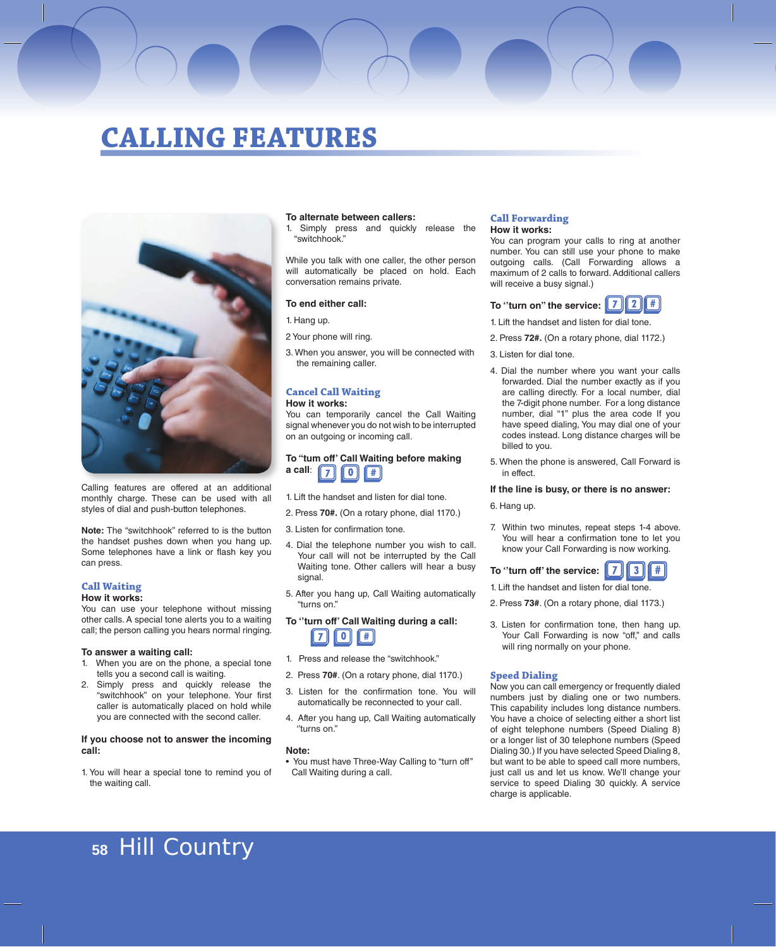# **CALLING FEATURES**



Calling features are offered at an additional monthly charge. These can be used with all styles of dial and push-button telephones.

**Note:** The "switchhook" referred to is the button the handset pushes down when you hang up. Some telephones have a link or flash key you can press.

# **Call Waiting**

**How it works:**

You can use your telephone without missing other calls. A special tone alerts you to a waiting call; the person calling you hears normal ringing.

#### **To answer a waiting call:**

- 1. When you are on the phone, a special tone tells you a second call is waiting.
- 2. Simply press and quickly release the "switchhook" on your telephone. Your first caller is automatically placed on hold while you are connected with the second caller.

#### **If you choose not to answer the incoming call:**

1. You will hear a special tone to remind you of the waiting call.

#### **To alternate between callers:**

1. Simply press and quickly release the "switchhook."

While you talk with one caller, the other person will automatically be placed on hold. Each conversation remains private.

#### **To end either call:**

1. Hang up.

2 Your phone will ring.

3. When you answer, you will be connected with the remaining caller.

# **Cancel Call Waiting**

#### **How it works:**

You can temporarily cancel the Call Waiting signal whenever you do not wish to be interrupted on an outgoing or incoming call.

#### **To "tum off' Call Waiting before making a call**:  $\sqrt{7}$ ll o l #

- 1. Lift the handset and listen for dial tone.
- 2. Press **70#.** (On a rotary phone, dial 1170.)
- 3. Listen for confirmation tone.
- 4. Dial the telephone number you wish to call. Your call will not be interrupted by the Call Waiting tone. Other callers will hear a busy signal.
- 5. After you hang up, Call Waiting automatically "turns on."

**To ''turn off' Call Waiting during a call:**  $\overline{0}$  $\overline{\mathbf{f}}$  $\overline{7}$ 

- 1. Press and release the "switchhook."
- 2. Press **70#**. (On a rotary phone, dial 1170.)
- 3. Listen for the confirmation tone. You will automatically be reconnected to your call.
- 4. After you hang up, Call Waiting automatically ''turns on."

#### **Note:**

• You must have Three-Way Calling to "turn off'' Call Waiting during a call.

#### **Call Forwarding How it works:**

You can program your calls to ring at another number. You can still use your phone to make outgoing calls. (Call Forwarding allows a maximum of 2 calls to forward. Additional callers will receive a busy signal.)

## **To ''turn on" the service:**

- 1. Lift the handset and listen for dial tone.
- 2. Press **72#.** (On a rotary phone, dial 1172.)
- 3. Listen for dial tone.
- 4. Dial the number where you want your calls forwarded. Dial the number exactly as if you are calling directly. For a local number, dial the 7-digit phone number. For a long distance number, dial "1" plus the area code If you have speed dialing, You may dial one of your codes instead. Long distance charges will be billed to you.
- 5. When the phone is answered, Call Forward is in effect.

#### **If the line is busy, or there is no answer:**

- 6. Hang up.
- 7. Within two minutes, repeat steps 1-4 above. You will hear a confirmation tone to let you know your Call Forwarding is now working.

**To ''turn off' the service:**  $\overline{\mathbf{3}}$ #

1. Lift the handset and listen for dial tone.

- 2. Press **73#**. (On a rotary phone, dial 1173.)
- 3. Listen for confirmation tone, then hang up. Your Call Forwarding is now "off," and calls will ring normally on your phone.

### **Speed Dialing**

Now you can call emergency or frequently dialed numbers just by dialing one or two numbers. This capability includes long distance numbers. You have a choice of selecting either a short list of eight telephone numbers (Speed Dialing 8) or a longer list of 30 telephone numbers (Speed Dialing 30.) If you have selected Speed Dialing 8, but want to be able to speed call more numbers, just call us and let us know. We'll change your service to speed Dialing 30 quickly. A service charge is applicable.